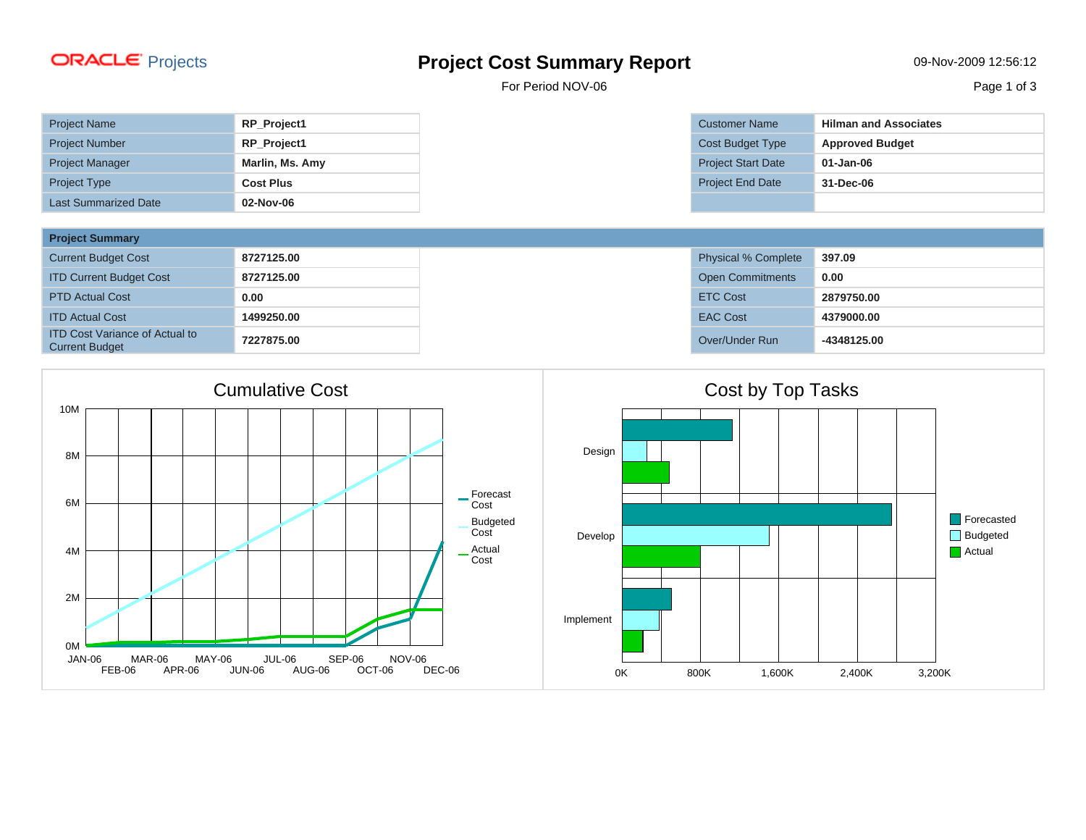## **ORACLE** Projects **Project Cost Summary Report Propert Cost Summary Report 12-56:12**

For Period NOV-06

| <b>Project Name</b>         | RP_Project1      |
|-----------------------------|------------------|
| <b>Project Number</b>       | RP_Project1      |
| <b>Project Manager</b>      | Marlin, Ms. Amy  |
| <b>Project Type</b>         | <b>Cost Plus</b> |
| <b>Last Summarized Date</b> | 02-Nov-06        |

| <b>Project Summary</b>                                         |            |                            |             |
|----------------------------------------------------------------|------------|----------------------------|-------------|
| <b>Current Budget Cost</b>                                     | 8727125.00 | <b>Physical % Complete</b> | 397.09      |
| <b>ITD Current Budget Cost</b>                                 | 8727125.00 | <b>Open Commitments</b>    | 0.00        |
| <b>PTD Actual Cost</b>                                         | 0.00       | <b>ETC Cost</b>            | 2879750.00  |
| <b>ITD Actual Cost</b>                                         | 1499250.00 | <b>EAC Cost</b>            | 4379000.00  |
| <b>ITD Cost Variance of Actual to</b><br><b>Current Budget</b> | 7227875.00 | Over/Under Run             | -4348125.00 |



| <b>Customer Name</b>      | <b>Hilman and Associates</b> |
|---------------------------|------------------------------|
| <b>Cost Budget Type</b>   | <b>Approved Budget</b>       |
| <b>Project Start Date</b> | $01 - Jan-06$                |
| <b>Project End Date</b>   | 31-Dec-06                    |
|                           |                              |

| <b>Physical % Complete</b> | 397.09      |
|----------------------------|-------------|
| <b>Open Commitments</b>    | 0.00        |
| <b>ETC Cost</b>            | 2879750.00  |
| <b>EAC Cost</b>            | 4379000.00  |
| Over/Under Run             | -4348125.00 |

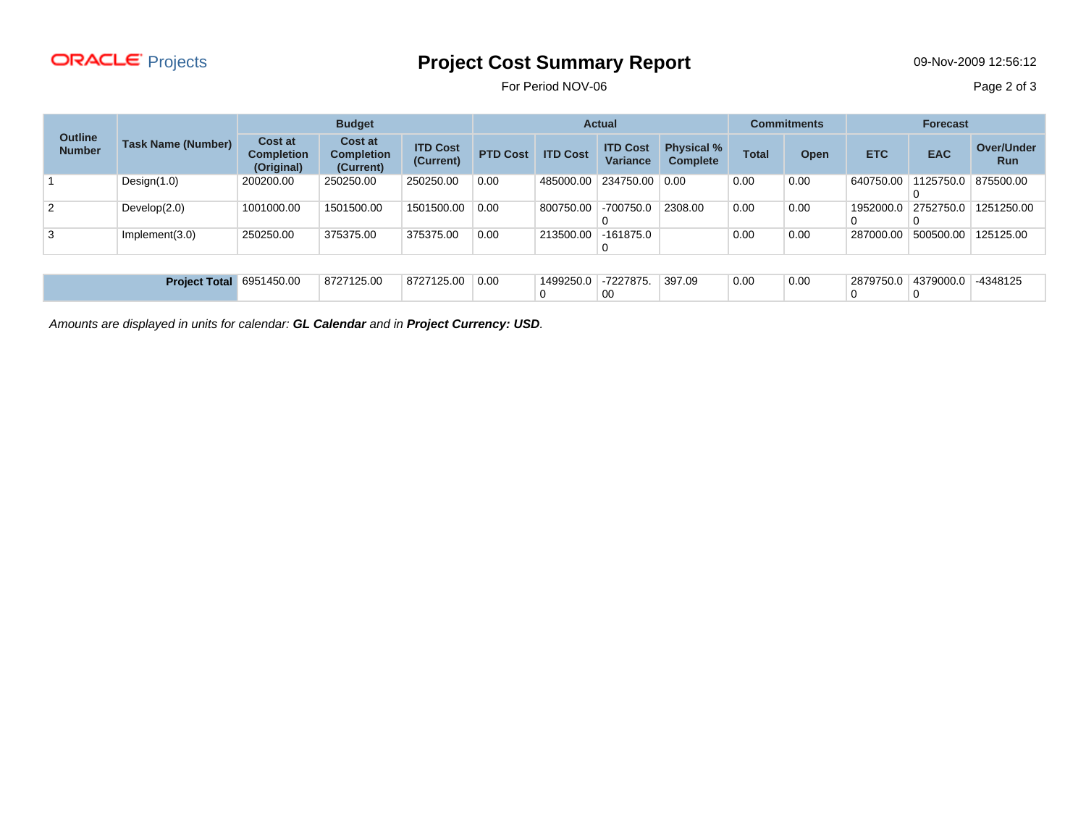

## Projects **Project Cost Summary Report** 09-Nov-2009 12:56:12

For Period NOV-06 Page 2 of 3

|                                 | <b>Task Name (Number)</b>       | <b>Budget</b>                                     |                                                  | <b>Actual</b>                |                 |                 | <b>Commitments</b>                 |                                      | <b>Forecast</b> |             |            |            |                                 |
|---------------------------------|---------------------------------|---------------------------------------------------|--------------------------------------------------|------------------------------|-----------------|-----------------|------------------------------------|--------------------------------------|-----------------|-------------|------------|------------|---------------------------------|
| <b>Outline</b><br><b>Number</b> |                                 | <b>Cost at</b><br><b>Completion</b><br>(Original) | <b>Cost at</b><br><b>Completion</b><br>(Current) | <b>ITD Cost</b><br>(Current) | <b>PTD Cost</b> | <b>ITD Cost</b> | <b>ITD Cost</b><br><b>Variance</b> | <b>Physical %</b><br><b>Complete</b> | <b>Total</b>    | <b>Open</b> | <b>ETC</b> | <b>EAC</b> | <b>Over/Under</b><br><b>Run</b> |
|                                 | Design $(1.0)$                  | 200200.00                                         | 250250.00                                        | 250250.00                    | 0.00            | 485000.00       | 234750.00 0.00                     |                                      | 0.00            | 0.00        | 640750.00  | 1125750.0  | 875500.00                       |
| 2                               | Develop(2.0)                    | 1001000.00                                        | 1501500.00                                       | 1501500.00                   | 0.00            | 800750.00       | $-700750.0$                        | 2308.00                              | 0.00            | 0.00        | 1952000.0  | 2752750.0  | 1251250.00                      |
| 3                               | Implement(3.0)                  | 250250.00                                         | 375375.00                                        | 375375.00                    | 0.00            | 213500.00       | -161875.0                          |                                      | 0.00            | 0.00        | 287000.00  | 500500.00  | 125125.00                       |
|                                 |                                 |                                                   |                                                  |                              |                 |                 |                                    |                                      |                 |             |            |            |                                 |
|                                 | <b>Project Total 6951450.00</b> |                                                   | 8727125.00                                       | 8727125.00                   | 0.00            | 1499250.0       | -7227875.<br>00                    | 397.09                               | 0.00            | 0.00        | 2879750.0  | 4379000.0  | -4348125                        |

Amounts are displayed in units for calendar: **GL Calendar** and in **Project Currency: USD**.